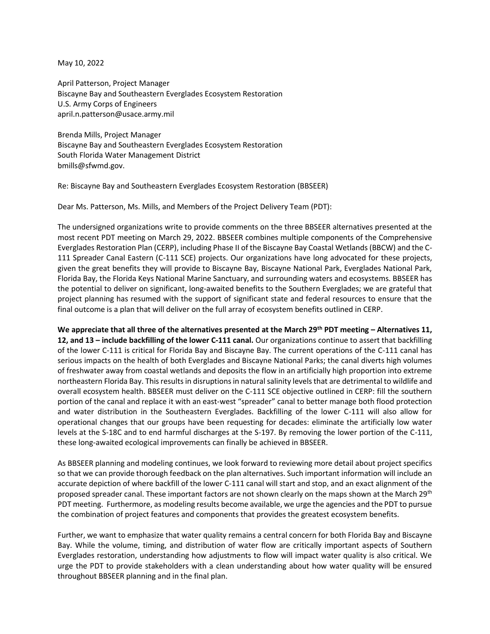May 10, 2022

April Patterson, Project Manager Biscayne Bay and Southeastern Everglades Ecosystem Restoration U.S. Army Corps of Engineers april.n.patterson@usace.army.mil

Brenda Mills, Project Manager Biscayne Bay and Southeastern Everglades Ecosystem Restoration South Florida Water Management District bmills@sfwmd.gov.

Re: Biscayne Bay and Southeastern Everglades Ecosystem Restoration (BBSEER)

Dear Ms. Patterson, Ms. Mills, and Members of the Project Delivery Team (PDT):

The undersigned organizations write to provide comments on the three BBSEER alternatives presented at the most recent PDT meeting on March 29, 2022. BBSEER combines multiple components of the Comprehensive Everglades Restoration Plan (CERP), including Phase II of the Biscayne Bay Coastal Wetlands (BBCW) and the C-111 Spreader Canal Eastern (C-111 SCE) projects. Our organizations have long advocated for these projects, given the great benefits they will provide to Biscayne Bay, Biscayne National Park, Everglades National Park, Florida Bay, the Florida Keys National Marine Sanctuary, and surrounding waters and ecosystems. BBSEER has the potential to deliver on significant, long-awaited benefits to the Southern Everglades; we are grateful that project planning has resumed with the support of significant state and federal resources to ensure that the final outcome is a plan that will deliver on the full array of ecosystem benefits outlined in CERP.

**We appreciate that all three of the alternatives presented at the March 29th PDT meeting – Alternatives 11, 12, and 13 – include backfilling of the lower C-111 canal.** Our organizations continue to assert that backfilling of the lower C-111 is critical for Florida Bay and Biscayne Bay. The current operations of the C-111 canal has serious impacts on the health of both Everglades and Biscayne National Parks; the canal diverts high volumes of freshwater away from coastal wetlands and deposits the flow in an artificially high proportion into extreme northeastern Florida Bay. This results in disruptions in natural salinity levels that are detrimental to wildlife and overall ecosystem health. BBSEER must deliver on the C-111 SCE objective outlined in CERP: fill the southern portion of the canal and replace it with an east-west "spreader" canal to better manage both flood protection and water distribution in the Southeastern Everglades. Backfilling of the lower C-111 will also allow for operational changes that our groups have been requesting for decades: eliminate the artificially low water levels at the S-18C and to end harmful discharges at the S-197. By removing the lower portion of the C-111, these long-awaited ecological improvements can finally be achieved in BBSEER.

As BBSEER planning and modeling continues, we look forward to reviewing more detail about project specifics so that we can provide thorough feedback on the plan alternatives. Such important information will include an accurate depiction of where backfill of the lower C-111 canal will start and stop, and an exact alignment of the proposed spreader canal. These important factors are not shown clearly on the maps shown at the March 29<sup>th</sup> PDT meeting. Furthermore, as modeling results become available, we urge the agencies and the PDT to pursue the combination of project features and components that provides the greatest ecosystem benefits.

Further, we want to emphasize that water quality remains a central concern for both Florida Bay and Biscayne Bay. While the volume, timing, and distribution of water flow are critically important aspects of Southern Everglades restoration, understanding how adjustments to flow will impact water quality is also critical. We urge the PDT to provide stakeholders with a clean understanding about how water quality will be ensured throughout BBSEER planning and in the final plan.